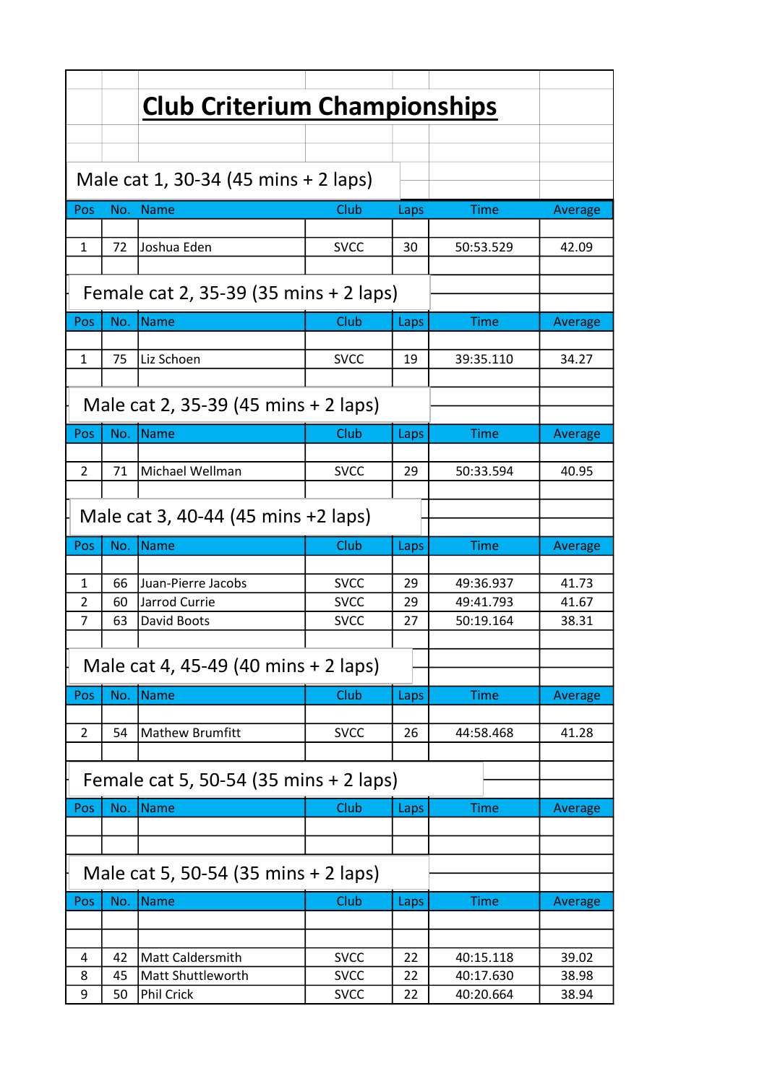|                                      |                                        | <b>Club Criterium Championships</b>    |                            |          |                        |                |  |  |
|--------------------------------------|----------------------------------------|----------------------------------------|----------------------------|----------|------------------------|----------------|--|--|
|                                      |                                        |                                        |                            |          |                        |                |  |  |
|                                      |                                        |                                        |                            |          |                        |                |  |  |
| Male cat 1, 30-34 (45 mins + 2 laps) |                                        |                                        |                            |          |                        |                |  |  |
| Pos                                  | No.                                    | <b>Name</b>                            | Club                       | Laps     | Time                   | Average        |  |  |
| 1                                    | 72                                     | Joshua Eden                            | <b>SVCC</b>                | 30       | 50:53.529              | 42.09          |  |  |
|                                      |                                        |                                        |                            |          |                        |                |  |  |
|                                      | Female cat 2, 35-39 (35 mins + 2 laps) |                                        |                            |          |                        |                |  |  |
| Pos                                  | No.                                    | Name                                   | Club                       | Laps     | Time                   | Average        |  |  |
| 1                                    | 75                                     | Liz Schoen                             | <b>SVCC</b>                | 19       | 39:35.110              | 34.27          |  |  |
|                                      |                                        |                                        |                            |          |                        |                |  |  |
|                                      | Male cat 2, 35-39 (45 mins + 2 laps)   |                                        |                            |          |                        |                |  |  |
| Pos                                  | No.                                    | Name                                   | Club                       | Laps     | Time                   | Average        |  |  |
|                                      |                                        |                                        |                            |          |                        |                |  |  |
| $\mathcal{P}$                        | 71                                     | Michael Wellman                        | <b>SVCC</b>                | 29       | 50:33.594              | 40.95          |  |  |
| Male cat 3, 40-44 (45 mins +2 laps)  |                                        |                                        |                            |          |                        |                |  |  |
|                                      |                                        |                                        |                            |          |                        |                |  |  |
| Pos                                  | No.                                    | <b>Name</b>                            | Club                       | Laps     | <b>Time</b>            | Average        |  |  |
|                                      |                                        |                                        |                            |          |                        |                |  |  |
| 1                                    | 66                                     | Juan-Pierre Jacobs                     | <b>SVCC</b>                | 29       | 49:36.937              | 41.73          |  |  |
| $\overline{2}$<br>7                  | 60<br>63                               | Jarrod Currie<br>David Boots           | <b>SVCC</b><br><b>SVCC</b> | 29<br>27 | 49:41.793<br>50:19.164 | 41.67<br>38.31 |  |  |
|                                      |                                        |                                        |                            |          |                        |                |  |  |
|                                      |                                        | Male cat 4, 45-49 (40 mins + 2 laps)   |                            |          |                        |                |  |  |
| Pos                                  | No.                                    | <b>Name</b>                            | Club                       | Laps     | <b>Time</b>            | Average        |  |  |
| 2                                    |                                        |                                        |                            |          |                        |                |  |  |
|                                      | 54                                     | <b>Mathew Brumfitt</b>                 | <b>SVCC</b>                | 26       | 44:58.468              | 41.28          |  |  |
|                                      |                                        | Female cat 5, 50-54 (35 mins + 2 laps) |                            |          |                        |                |  |  |
| Pos                                  | No.                                    | Name                                   | Club                       | Laps     | <b>Time</b>            | Average        |  |  |
|                                      |                                        |                                        |                            |          |                        |                |  |  |
|                                      |                                        |                                        |                            |          |                        |                |  |  |
|                                      |                                        | Male cat 5, 50-54 (35 mins + 2 laps)   |                            |          |                        |                |  |  |
| Pos                                  | No.                                    | Name                                   | Club                       | Laps     | <b>Time</b>            | Average        |  |  |
|                                      |                                        |                                        |                            |          |                        |                |  |  |
| 4                                    | 42                                     | <b>Matt Caldersmith</b>                | <b>SVCC</b>                | 22       | 40:15.118              | 39.02          |  |  |
| 8<br>9                               | 45<br>50                               | Matt Shuttleworth<br><b>Phil Crick</b> | <b>SVCC</b><br><b>SVCC</b> | 22<br>22 | 40:17.630<br>40:20.664 | 38.98<br>38.94 |  |  |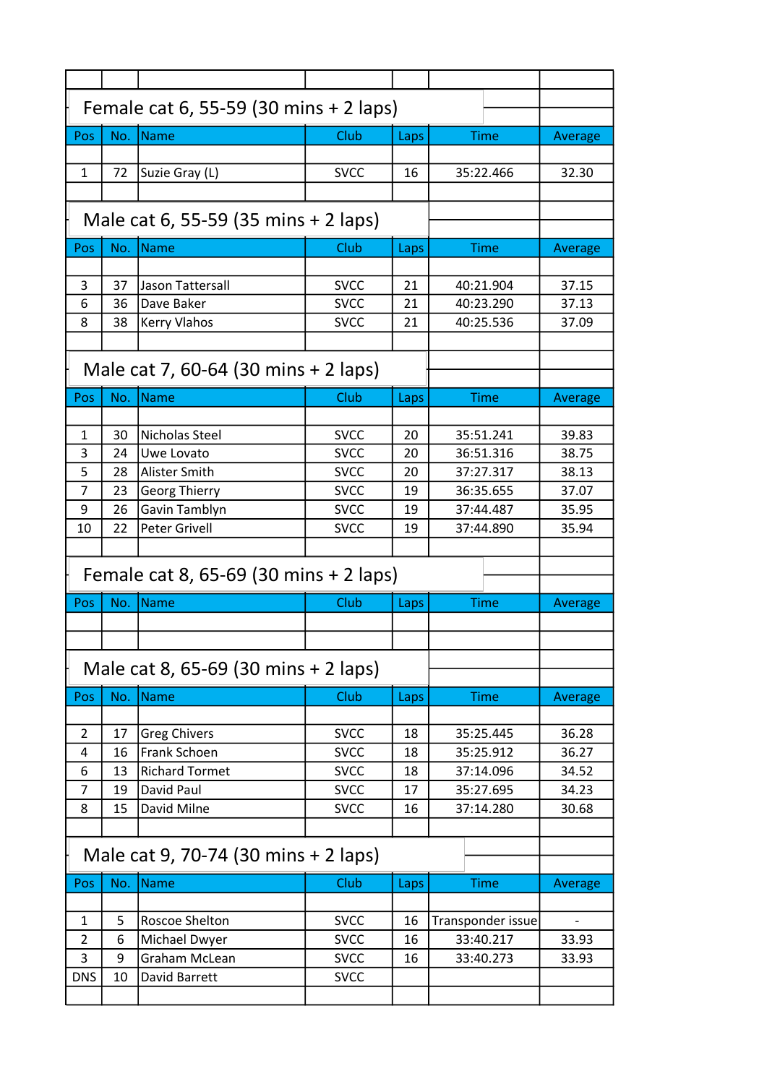| Female cat 6, 55-59 (30 mins + 2 laps) |     |                                          |             |      |                   |         |  |
|----------------------------------------|-----|------------------------------------------|-------------|------|-------------------|---------|--|
| Pos                                    | No. | Name                                     | Club        |      | Time              |         |  |
|                                        |     |                                          |             | Laps |                   | Average |  |
| $\mathbf{1}$                           | 72  | Suzie Gray (L)                           | <b>SVCC</b> | 16   | 35:22.466         | 32.30   |  |
|                                        |     |                                          |             |      |                   |         |  |
|                                        |     |                                          |             |      |                   |         |  |
| Male cat 6, 55-59 (35 mins + 2 laps)   |     |                                          |             |      |                   |         |  |
| Pos                                    | No. | <b>Name</b>                              | Club        | Laps | <b>Time</b>       | Average |  |
|                                        |     |                                          |             |      |                   |         |  |
| 3                                      | 37  | Jason Tattersall                         | <b>SVCC</b> | 21   | 40:21.904         | 37.15   |  |
| 6                                      | 36  | Dave Baker                               | <b>SVCC</b> | 21   | 40:23.290         | 37.13   |  |
| 8                                      | 38  | <b>Kerry Vlahos</b>                      | <b>SVCC</b> | 21   | 40:25.536         | 37.09   |  |
|                                        |     |                                          |             |      |                   |         |  |
|                                        |     | Male cat 7, 60-64 (30 mins + 2 laps)     |             |      |                   |         |  |
|                                        |     |                                          |             |      |                   |         |  |
| Pos                                    | No. | <b>Name</b>                              | Club        | Laps | Time              | Average |  |
|                                        |     |                                          |             |      |                   |         |  |
| 1                                      | 30  | Nicholas Steel                           | <b>SVCC</b> | 20   | 35:51.241         | 39.83   |  |
| 3                                      | 24  | Uwe Lovato                               | <b>SVCC</b> | 20   | 36:51.316         | 38.75   |  |
| 5                                      | 28  | Alister Smith                            | <b>SVCC</b> | 20   | 37:27.317         | 38.13   |  |
| 7                                      | 23  | <b>Georg Thierry</b>                     | <b>SVCC</b> | 19   | 36:35.655         | 37.07   |  |
| 9                                      | 26  | Gavin Tamblyn                            | <b>SVCC</b> | 19   | 37:44.487         | 35.95   |  |
| 10                                     | 22  | <b>Peter Grivell</b>                     | <b>SVCC</b> | 19   | 37:44.890         | 35.94   |  |
|                                        |     |                                          |             |      |                   |         |  |
|                                        |     |                                          |             |      |                   |         |  |
|                                        |     | Female cat 8, 65-69 (30 mins $+$ 2 laps) |             |      |                   |         |  |
| Pos                                    | No. | <b>Name</b>                              | Club        | Laps | <b>Time</b>       | Average |  |
|                                        |     |                                          |             |      |                   |         |  |
|                                        |     |                                          |             |      |                   |         |  |
|                                        |     |                                          |             |      |                   |         |  |
|                                        |     | Male cat 8, 65-69 (30 mins + 2 laps)     |             |      |                   |         |  |
| Pos                                    | No. | <b>Name</b>                              | Club        | Laps | <b>Time</b>       | Average |  |
|                                        |     |                                          |             |      |                   |         |  |
| 2                                      | 17  | <b>Greg Chivers</b>                      | <b>SVCC</b> | 18   | 35:25.445         | 36.28   |  |
| 4                                      | 16  | Frank Schoen                             | <b>SVCC</b> | 18   | 35:25.912         | 36.27   |  |
| 6                                      | 13  | <b>Richard Tormet</b>                    | <b>SVCC</b> | 18   | 37:14.096         | 34.52   |  |
| 7                                      | 19  | David Paul                               | <b>SVCC</b> | 17   | 35:27.695         | 34.23   |  |
| 8                                      | 15  | David Milne                              | <b>SVCC</b> | 16   | 37:14.280         | 30.68   |  |
|                                        |     |                                          |             |      |                   |         |  |
|                                        |     | Male cat 9, 70-74 (30 mins + 2 laps)     |             |      |                   |         |  |
| Pos                                    | No. | <b>Name</b>                              | Club        | Laps | <b>Time</b>       | Average |  |
|                                        |     |                                          |             |      |                   |         |  |
| 1                                      | 5   | Roscoe Shelton                           | <b>SVCC</b> | 16   | Transponder issue |         |  |
| 2                                      | 6   | Michael Dwyer                            | <b>SVCC</b> | 16   | 33:40.217         | 33.93   |  |
| 3                                      | 9   | Graham McLean                            | <b>SVCC</b> | 16   | 33:40.273         | 33.93   |  |
| <b>DNS</b>                             | 10  | David Barrett                            | <b>SVCC</b> |      |                   |         |  |